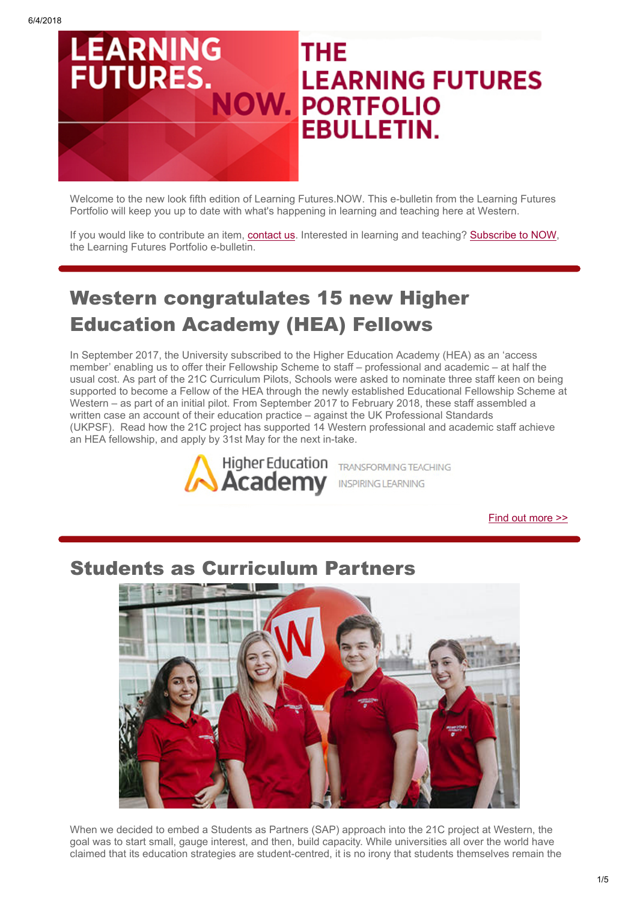

Welcome to the new look fifth edition of Learning Futures.NOW. This e-bulletin from the Learning Futures Portfolio will keep you up to date with what's happening in learning and teaching here at Western.

If you would like to contribute an item, [contact us.](https://www.vision6.com.au/ch/37166/17685/2360866/5691312hgt.html) Interested in learning and teaching? [Subscribe to NOW,](https://www.vision6.com.au/ch/37166/17685/2360867/569137khv.html) the Learning Futures Portfolio e-bulletin.

# Western congratulates 15 new Higher Education Academy (HEA) Fellows

In September 2017, the University subscribed to the Higher Education Academy (HEA) as an 'access member' enabling us to offer their Fellowship Scheme to staff – professional and academic – at half the usual cost. As part of the 21C Curriculum Pilots, Schools were asked to nominate three staff keen on being supported to become a Fellow of the HEA through the newly established Educational Fellowship Scheme at Western – as part of an initial pilot. From September 2017 to February 2018, these staff assembled a written case an account of their education practice – against the UK Professional Standards (UKPSF). Read how the 21C project has supported 14 Western professional and academic staff achieve an HEA fellowship, and apply by 31st May for the next in-take.



[Find out more >>](https://www.vision6.com.au/ch/37166/17685/2361350/5691314mr.html)

## Students as Curriculum Partners



When we decided to embed a Students as Partners (SAP) approach into the 21C project at Western, the goal was to start small, gauge interest, and then, build capacity. While universities all over the world have claimed that its education strategies are student-centred, it is no irony that students themselves remain the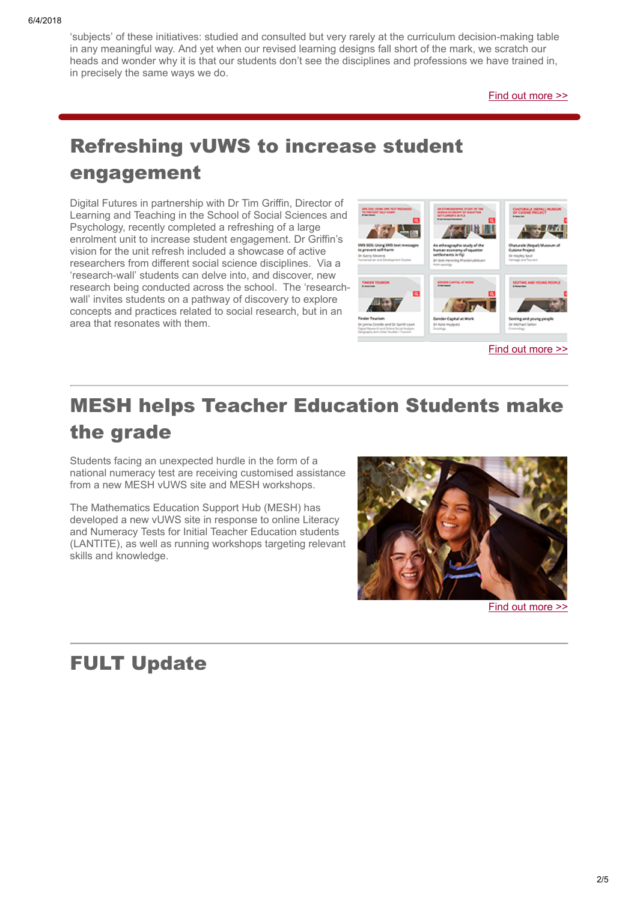'subjects' of these initiatives: studied and consulted but very rarely at the curriculum decision-making table in any meaningful way. And yet when our revised learning designs fall short of the mark, we scratch our heads and wonder why it is that our students don't see the disciplines and professions we have trained in, in precisely the same ways we do.

[Find out more >>](https://www.vision6.com.au/ch/37166/17685/2361351/56913jh6y.html)

# Refreshing vUWS to increase student engagement

Digital Futures in partnership with Dr Tim Griffin, Director of Learning and Teaching in the School of Social Sciences and Psychology, recently completed a refreshing of a large enrolment unit to increase student engagement. Dr Griffin's vision for the unit refresh included a showcase of active researchers from different social science disciplines. Via a 'research-wall' students can delve into, and discover, new research being conducted across the school. The 'researchwall' invites students on a pathway of discovery to explore concepts and practices related to social research, but in an area that resonates with them.



# MESH helps Teacher Education Students make the grade

Students facing an unexpected hurdle in the form of a national numeracy test are receiving customised assistance from a new MESH vUWS site and MESH workshops.

The Mathematics Education Support Hub (MESH) has developed a new vUWS site in response to online Literacy and Numeracy Tests for Initial Teacher Education students (LANTITE), as well as running workshops targeting relevant skills and knowledge.



[Find out more >>](https://www.vision6.com.au/ch/37166/17685/2361354/56913bdn2.html)

## FULT Update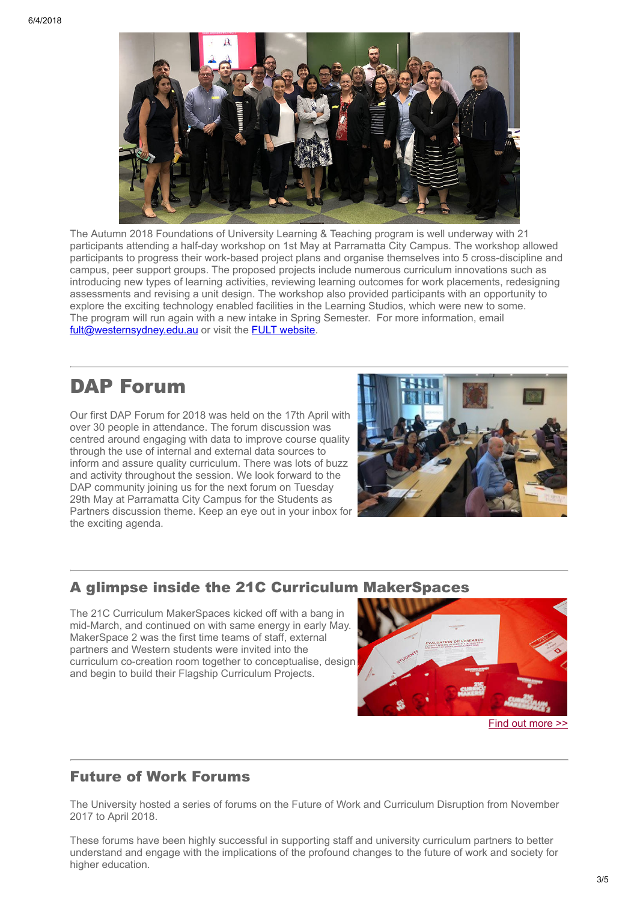

The Autumn 2018 Foundations of University Learning & Teaching program is well underway with 21 participants attending a half-day workshop on 1st May at Parramatta City Campus. The workshop allowed participants to progress their work-based project plans and organise themselves into 5 cross-discipline and campus, peer support groups. The proposed projects include numerous curriculum innovations such as introducing new types of learning activities, reviewing learning outcomes for work placements, redesigning assessments and revising a unit design. The workshop also provided participants with an opportunity to explore the exciting technology enabled facilities in the Learning Studios, which were new to some. The program will run again with a new intake in Spring Semester. For more information, email [fult@westernsydney.edu.au](mailto:fult@westernsydney.edu.au?subject=%5Bebulletin%5D%20FULT%20Enquiry) or visit the [FULT website.](https://www.vision6.com.au/ch/37166/17685/2360896/56913162t2.html)

## DAP Forum

Our first DAP Forum for 2018 was held on the 17th April with over 30 people in attendance. The forum discussion was centred around engaging with data to improve course quality through the use of internal and external data sources to inform and assure quality curriculum. There was lots of buzz and activity throughout the session. We look forward to the DAP community joining us for the next forum on Tuesday 29th May at Parramatta City Campus for the Students as Partners discussion theme. Keep an eye out in your inbox for the exciting agenda.



## A glimpse inside the 21C Curriculum MakerSpaces

The 21C Curriculum MakerSpaces kicked off with a bang in mid-March, and continued on with same energy in early May. MakerSpace 2 was the first time teams of staff, external partners and Western students were invited into the curriculum co-creation room together to conceptualise, design and begin to build their Flagship Curriculum Projects.



#### [Find out more >>](https://www.vision6.com.au/ch/37166/17685/2361353/56913wpzt.html)

### Future of Work Forums

The University hosted a series of forums on the Future of Work and Curriculum Disruption from November 2017 to April 2018.

These forums have been highly successful in supporting staff and university curriculum partners to better understand and engage with the implications of the profound changes to the future of work and society for higher education.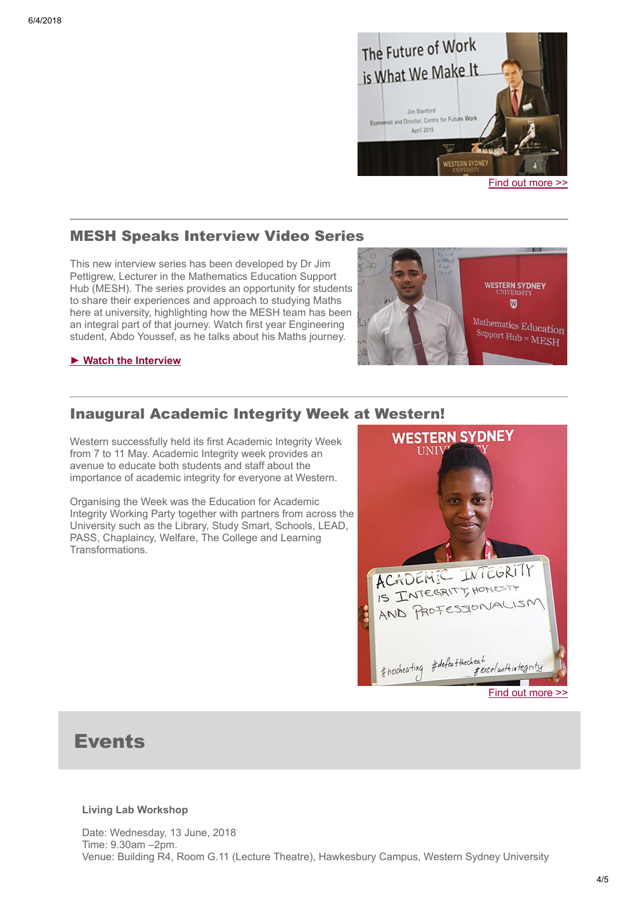

### MESH Speaks Interview Video Series

This new interview series has been developed by Dr Jim Pettigrew, Lecturer in the Mathematics Education Support Hub (MESH). The series provides an opportunity for students to share their experiences and approach to studying Maths here at university, highlighting how the MESH team has been an integral part of that journey. Watch first year Engineering student, Abdo Youssef, as he talks about his Maths journey.



### ► [Watch the Interview](https://www.vision6.com.au/ch/37166/17685/2361451/56913k5vp.html)

### Inaugural Academic Integrity Week at Western!

Western successfully held its first Academic Integrity Week from 7 to 11 May. Academic Integrity week provides an avenue to educate both students and staff about the importance of academic integrity for everyone at Western.

Organising the Week was the Education for Academic Integrity Working Party together with partners from across the University such as the Library, Study Smart, Schools, LEAD, PASS, Chaplaincy, Welfare, The College and Learning Transformations.



## Events

### Living Lab Workshop